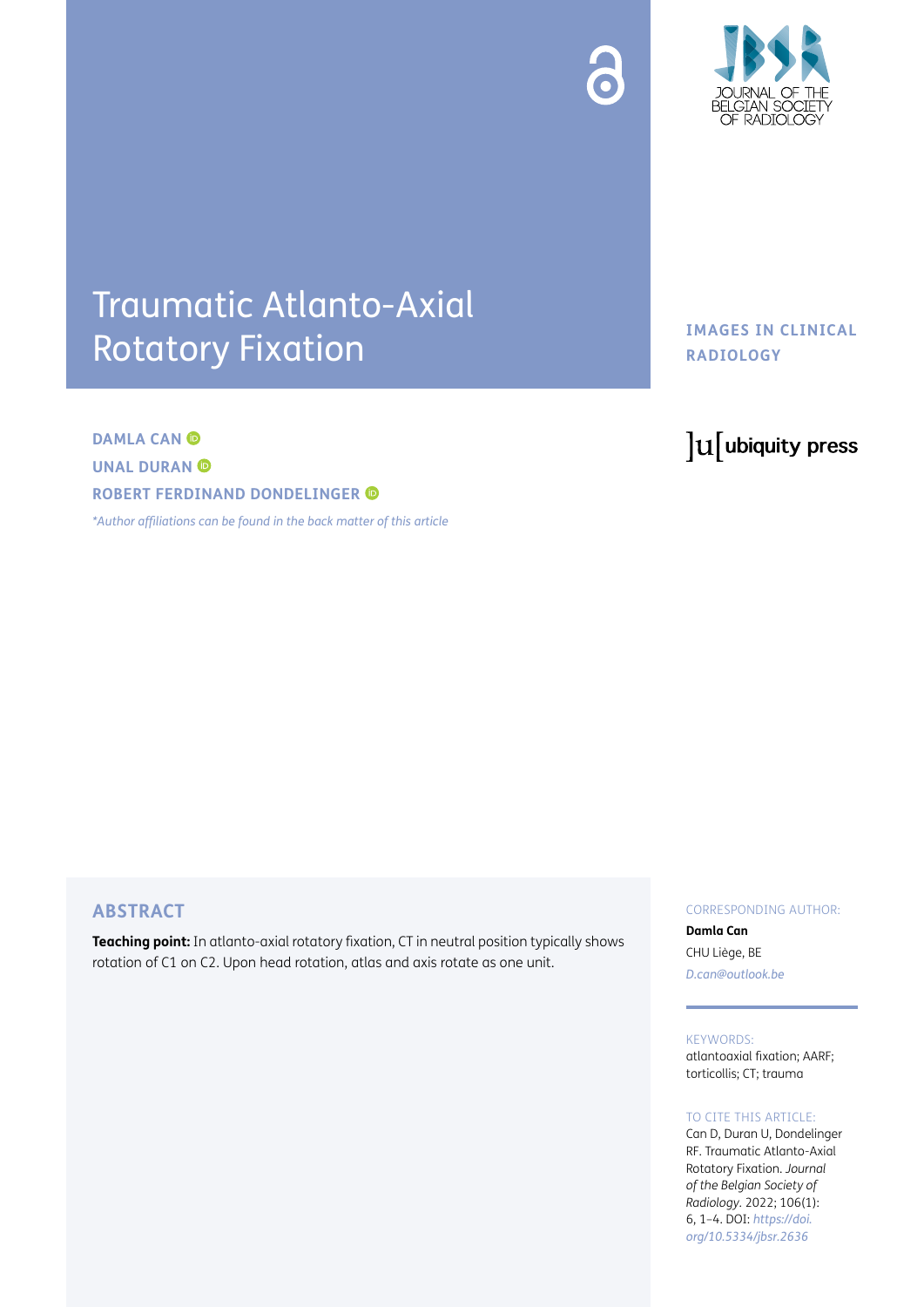



# Traumatic Atlanto-Axial Rotatory Fixation

# **DAMLA CAN © UNAL DURAN © ROBERT FERDINAND DONDELINGER**

*\*[Author affiliations can be found in the back matter of this article](#page-3-0)*

## **IMAGES IN CLINICAL RADIOLOGY**

# lu ubiquity press

## **ABSTRACT**

**Teaching point:** In atlanto-axial rotatory fixation, CT in neutral position typically shows rotation of C1 on C2. Upon head rotation, atlas and axis rotate as one unit.

#### CORRESPONDING AUTHOR:

**Damla Can** CHU Liège, BE *[D.can@outlook.be](mailto:D.can@outlook.be)*

KEYWORDS: atlantoaxial fixation; AARF;

torticollis; CT; trauma

#### TO CITE THIS ARTICLE:

Can D, Duran U, Dondelinger RF. Traumatic Atlanto-Axial Rotatory Fixation. *Journal of the Belgian Society of Radiology.* 2022; 106(1): 6, 1–4. DOI: *[https://doi.](https://doi.org/10.5334/jbsr.2636) [org/10.5334/jbsr.2636](https://doi.org/10.5334/jbsr.2636)*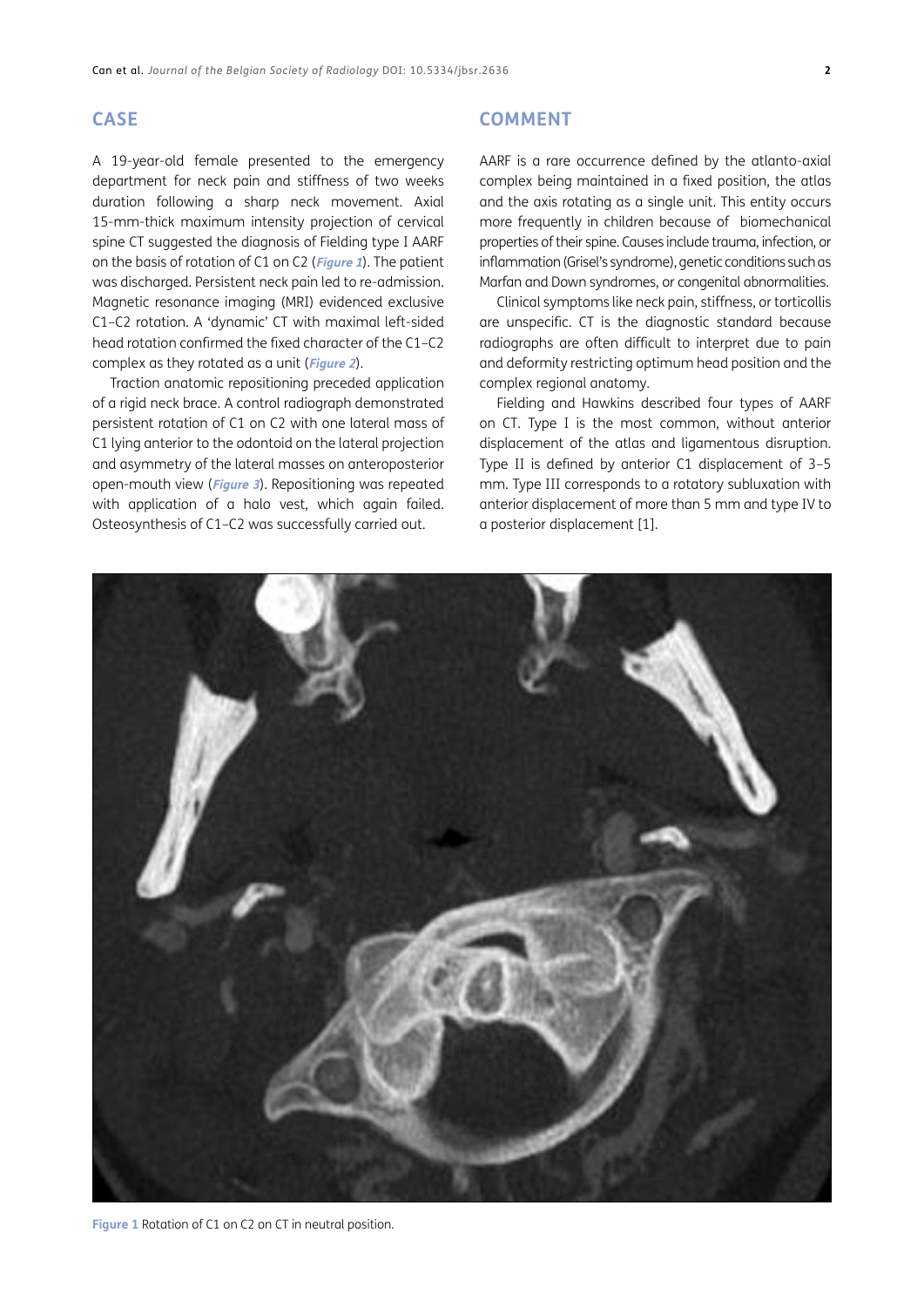#### **CASE**

A 19-year-old female presented to the emergency department for neck pain and stiffness of two weeks duration following a sharp neck movement. Axial 15-mm-thick maximum intensity projection of cervical spine CT suggested the diagnosis of Fielding type I AARF on the basis of rotation of C1 on C2 (**[Figure 1](#page-1-0)**). The patient was discharged. Persistent neck pain led to re-admission. Magnetic resonance imaging (MRI) evidenced exclusive C1–C2 rotation. A 'dynamic' CT with maximal left-sided head rotation confirmed the fixed character of the C1–C2 complex as they rotated as a unit (**[Figure 2](#page-2-0)**).

Traction anatomic repositioning preceded application of a rigid neck brace. A control radiograph demonstrated persistent rotation of C1 on C2 with one lateral mass of C1 lying anterior to the odontoid on the lateral projection and asymmetry of the lateral masses on anteroposterior open-mouth view (**[Figure 3](#page-2-1)**). Repositioning was repeated with application of a halo vest, which again failed. Osteosynthesis of C1–C2 was successfully carried out.

#### **COMMENT**

AARF is a rare occurrence defined by the atlanto-axial complex being maintained in a fixed position, the atlas and the axis rotating as a single unit. This entity occurs more frequently in children because of biomechanical properties of their spine. Causes include trauma, infection, or inflammation (Grisel's syndrome), genetic conditions such as Marfan and Down syndromes, or congenital abnormalities.

Clinical symptoms like neck pain, stiffness, or torticollis are unspecific. CT is the diagnostic standard because radiographs are often difficult to interpret due to pain and deformity restricting optimum head position and the complex regional anatomy.

Fielding and Hawkins described four types of AARF on CT. Type I is the most common, without anterior displacement of the atlas and ligamentous disruption. Type II is defined by anterior C1 displacement of 3–5 mm. Type III corresponds to a rotatory subluxation with anterior displacement of more than 5 mm and type IV to a posterior displacement [[1](#page-3-1)].

<span id="page-1-0"></span>

**Figure 1** Rotation of C1 on C2 on CT in neutral position.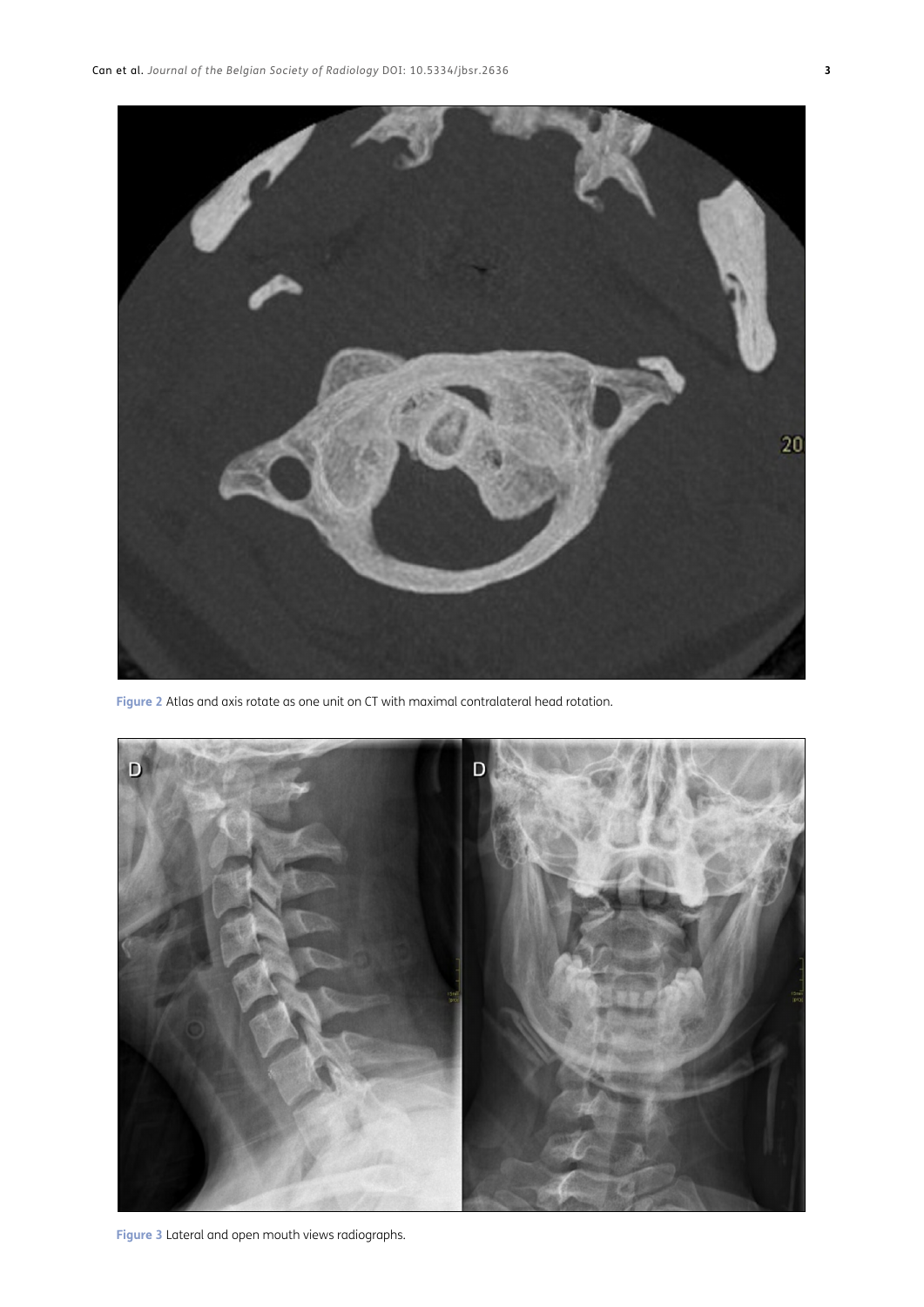

**Figure 2** Atlas and axis rotate as one unit on CT with maximal contralateral head rotation.

<span id="page-2-1"></span><span id="page-2-0"></span>

**Figure 3** Lateral and open mouth views radiographs.